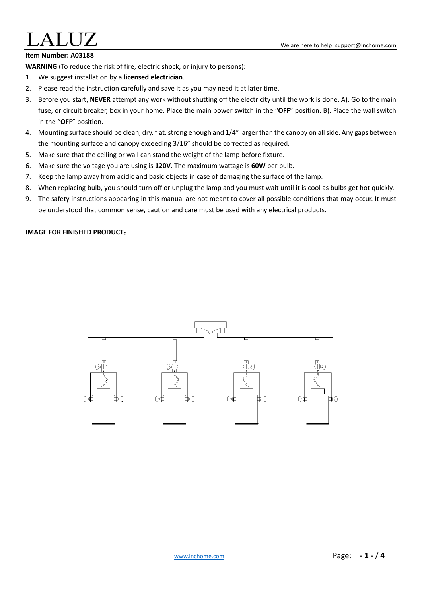### **Item Number: A03188**

**WARNING** (To reduce the risk of fire, electric shock, or injury to persons):

- 1. We suggest installation by a **licensed electrician**.
- 2. Please read the instruction carefully and save it as you may need it at later time.
- 3. Before you start, **NEVER** attempt any work without shutting off the electricity until the work is done. A). Go to the main fuse, or circuit breaker, box in your home. Place the main power switch in the "**OFF**" position. B). Place the wall switch in the "**OFF**" position.
- 4. Mounting surface should be clean, dry, flat, strong enough and 1/4" larger than the canopy on all side. Any gaps between the mounting surface and canopy exceeding 3/16" should be corrected as required.
- 5. Make sure that the ceiling or wall can stand the weight of the lamp before fixture.
- 6. Make sure the voltage you are using is **120V**. The maximum wattage is **60W** per bulb.
- 7. Keep the lamp away from acidic and basic objects in case of damaging the surface of the lamp.
- 8. When replacing bulb, you should turn off or unplug the lamp and you must wait until it is cool as bulbs get hot quickly.
- 9. The safety instructions appearing in this manual are not meant to cover all possible conditions that may occur. It must be understood that common sense, caution and care must be used with any electrical products.

### **IMAGE FOR FINISHED PRODUCT**:

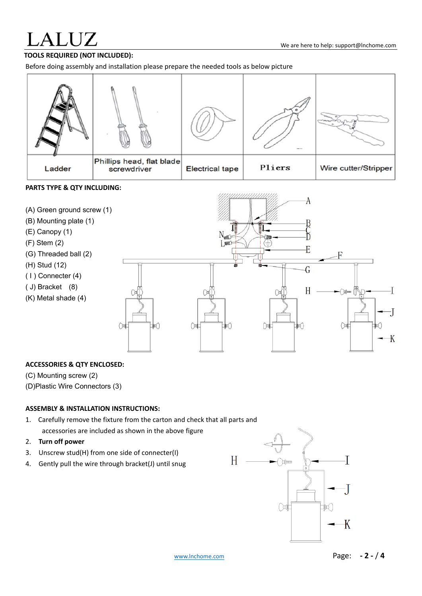# **LALUZ**

# **TOOLS REQUIRED (NOT INCLUDED):**

Before doing assembly and installation please prepare the needed tools as below picture

|        |                                          |                        | $-$    |                      |
|--------|------------------------------------------|------------------------|--------|----------------------|
| Ladder | Phillips head, flat blade<br>screwdriver | <b>Electrical tape</b> | Pliers | Wire cutter/Stripper |

### **PARTS TYPE & QTY INCLUDING:**



### **ACCESSORIES & QTY ENCLOSED:**

(C) Mounting screw (2)

(D)Plastic Wire Connectors (3)

### **ASSEMBLY & INSTALLATION INSTRUCTIONS:**

- 1. Carefully remove the fixture from the carton and check that all parts and accessories are included as shown in the above figure
- 2. **Turn off power**
- 3. Unscrew stud(H) from one side of connecter(I)
- 4. Gently pull the wire through bracket(J) until snug

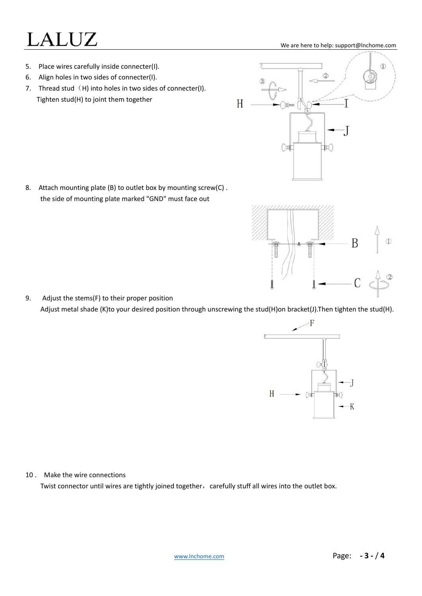# $\mathsf{LALUZ}$  we are here to help: support@Inchome.com

- 5. Place wires carefully inside connecter(I).
- 6. Align holes in two sides of connecter(I).
- 7. Thread stud  $(H)$  into holes in two sides of connecter(I). Tighten stud(H) to joint them together

8. Attach mounting plate (B) to outlet box by mounting screw(C). the side of mounting plate marked "GND" must face out

9. Adjust the stems(F) to their proper position Adjust metal shade (K)to your desired position through unscrewing the stud(H)on bracket(J).Then tighten the stud(H).

10 . Make the wire connections

Twist connector until wires are tightly joined together, carefully stuff all wires into the outlet box.